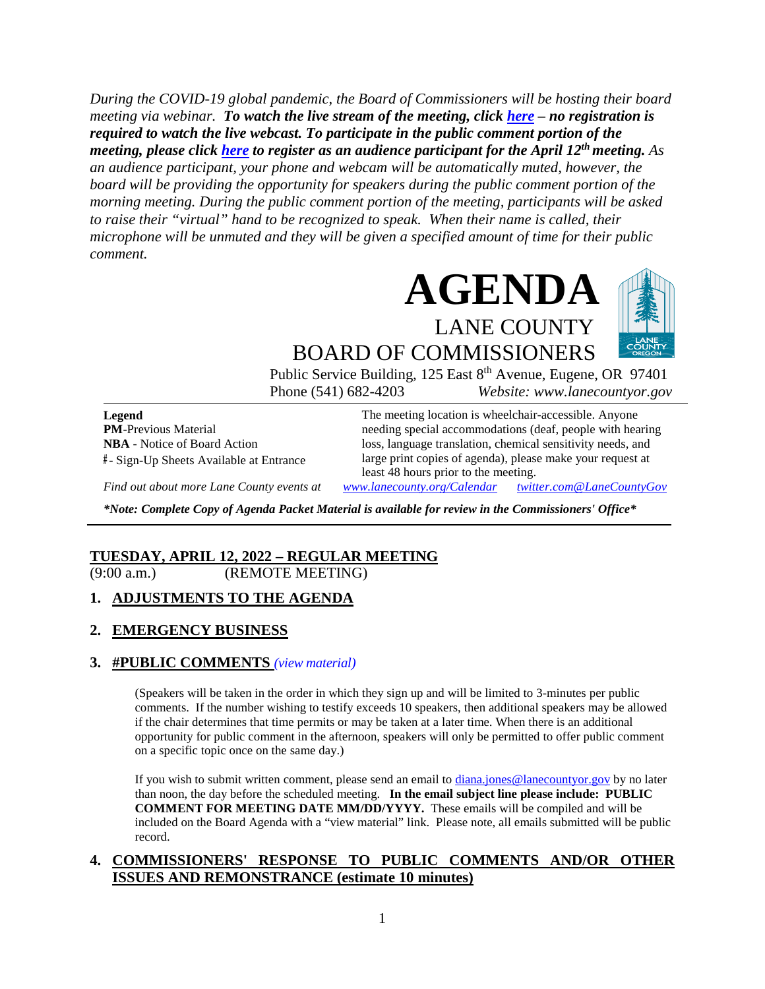*During the COVID-19 global pandemic, the Board of Commissioners will be hosting their board meeting via webinar. To watch the live stream of the meeting, click [here](https://lanecounty.org/cms/One.aspx?portalId=3585881&pageId=7842434) – no registration is required to watch the live webcast. To participate in the public comment portion of the meeting, please click [here](https://us06web.zoom.us/webinar/register/WN_NQTjApamT5O83tXLHT2Ipw) to register as an audience participant for the April 12th meeting. As an audience participant, your phone and webcam will be automatically muted, however, the board will be providing the opportunity for speakers during the public comment portion of the morning meeting. During the public comment portion of the meeting, participants will be asked to raise their "virtual" hand to be recognized to speak. When their name is called, their microphone will be unmuted and they will be given a specified amount of time for their public comment.* 



Public Service Building, 125 East 8<sup>th</sup> Avenue, Eugene, OR 97401 Phone (541) 682-4203 *Website: www.lanecountyor.gov*

**Legend PM**-Previous Material **NBA** - Notice of Board Action **#** - Sign-Up Sheets Available at Entrance

The meeting location is wheelchair-accessible. Anyone needing special accommodations (deaf, people with hearing loss, language translation, chemical sensitivity needs, and large print copies of agenda), please make your request at least 48 hours prior to the meeting.

*Find out about more Lane County events at [www.lanecounty.org/Calendar](http://www.lanecounty.org/Calendar) [twitter.com@LaneCountyGov](https://twitter.com/lanecountygov?lang=en)*

*\*Note: Complete Copy of Agenda Packet Material is available for review in the Commissioners' Office\**

#### **TUESDAY, APRIL 12, 2022 – REGULAR MEETING** (9:00 a.m.) (REMOTE MEETING)

#### **1. ADJUSTMENTS TO THE AGENDA**

#### **2. EMERGENCY BUSINESS**

#### **3. #PUBLIC COMMENTS** *(view [material\)](http://www.lanecountyor.gov/UserFiles/Servers/Server_3585797/File/Government/BCC/2022/2022_AGENDAS/041222agenda/T.3.pdf)*

(Speakers will be taken in the order in which they sign up and will be limited to 3-minutes per public comments. If the number wishing to testify exceeds 10 speakers, then additional speakers may be allowed if the chair determines that time permits or may be taken at a later time. When there is an additional opportunity for public comment in the afternoon, speakers will only be permitted to offer public comment on a specific topic once on the same day.)

If you wish to submit written comment, please send an email to [diana.jones@lanecountyor.gov](mailto:diana.jones@lanecountyor.gov) by no later than noon, the day before the scheduled meeting. **In the email subject line please include: PUBLIC COMMENT FOR MEETING DATE MM/DD/YYYY.** These emails will be compiled and will be included on the Board Agenda with a "view material" link. Please note, all emails submitted will be public record.

#### **4. COMMISSIONERS' RESPONSE TO PUBLIC COMMENTS AND/OR OTHER ISSUES AND REMONSTRANCE (estimate 10 minutes)**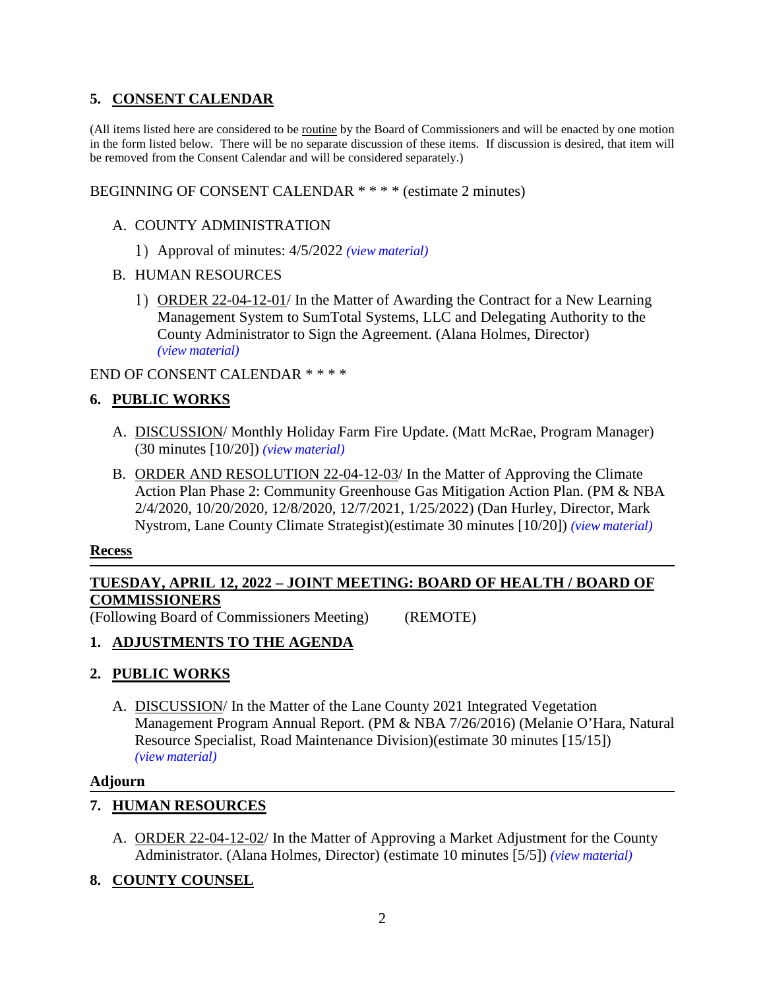## **5. CONSENT CALENDAR**

(All items listed here are considered to be routine by the Board of Commissioners and will be enacted by one motion in the form listed below. There will be no separate discussion of these items. If discussion is desired, that item will be removed from the Consent Calendar and will be considered separately.)

BEGINNING OF CONSENT CALENDAR \* \* \* \* (estimate 2 minutes)

#### A. COUNTY ADMINISTRATION

- Approval of minutes: 4/5/2022 *(view [material\)](http://www.lanecountyor.gov/UserFiles/Servers/Server_3585797/File/Government/BCC/2022/2022_AGENDAS/041222agenda/T.5.A.1.pdf)*
- B. HUMAN RESOURCES
	- 1) ORDER 22-04-12-01/ In the Matter of Awarding the Contract for a New Learning Management System to SumTotal Systems, LLC and Delegating Authority to the County Administrator to Sign the Agreement. (Alana Holmes, Director) *(view [material\)](http://www.lanecountyor.gov/UserFiles/Servers/Server_3585797/File/Government/BCC/2022/2022_AGENDAS/041222agenda/T.5.B.1.pdf)*

#### END OF CONSENT CALENDAR \* \* \* \*

## **6. PUBLIC WORKS**

- A. DISCUSSION/ Monthly Holiday Farm Fire Update. (Matt McRae, Program Manager) (30 minutes [10/20]) *(view [material\)](http://www.lanecountyor.gov/UserFiles/Servers/Server_3585797/File/Government/BCC/2022/2022_AGENDAS/041222agenda/T.6.A.pdf)*
- B. ORDER AND RESOLUTION 22-04-12-03/ In the Matter of Approving the Climate Action Plan Phase 2: Community Greenhouse Gas Mitigation Action Plan. (PM & NBA 2/4/2020, 10/20/2020, 12/8/2020, 12/7/2021, 1/25/2022) (Dan Hurley, Director, Mark Nystrom, Lane County Climate Strategist)(estimate 30 minutes [10/20]) *(view [material\)](http://www.lanecountyor.gov/UserFiles/Servers/Server_3585797/File/Government/BCC/2022/2022_AGENDAS/041222agenda/T.6.B.pdf)*

#### **Recess**

## **TUESDAY, APRIL 12, 2022 – JOINT MEETING: BOARD OF HEALTH / BOARD OF COMMISSIONERS**

(Following Board of Commissioners Meeting) (REMOTE)

## **1. ADJUSTMENTS TO THE AGENDA**

## **2. PUBLIC WORKS**

A. DISCUSSION/ In the Matter of the Lane County 2021 Integrated Vegetation Management Program Annual Report. (PM & NBA 7/26/2016) (Melanie O'Hara, Natural Resource Specialist, Road Maintenance Division)(estimate 30 minutes [15/15]) *(view [material\)](http://www.lanecountyor.gov/UserFiles/Servers/Server_3585797/File/Government/BCC/2022/2022_AGENDAS/041222agenda/T.2.A.pdf)*

#### **Adjourn**

## **7. HUMAN RESOURCES**

A. ORDER 22-04-12-02/ In the Matter of Approving a Market Adjustment for the County Administrator. (Alana Holmes, Director) (estimate 10 minutes [5/5]) *(view [material\)](http://www.lanecountyor.gov/UserFiles/Servers/Server_3585797/File/Government/BCC/2022/2022_AGENDAS/041222agenda/T.7.A.pdf)*

## **8. COUNTY COUNSEL**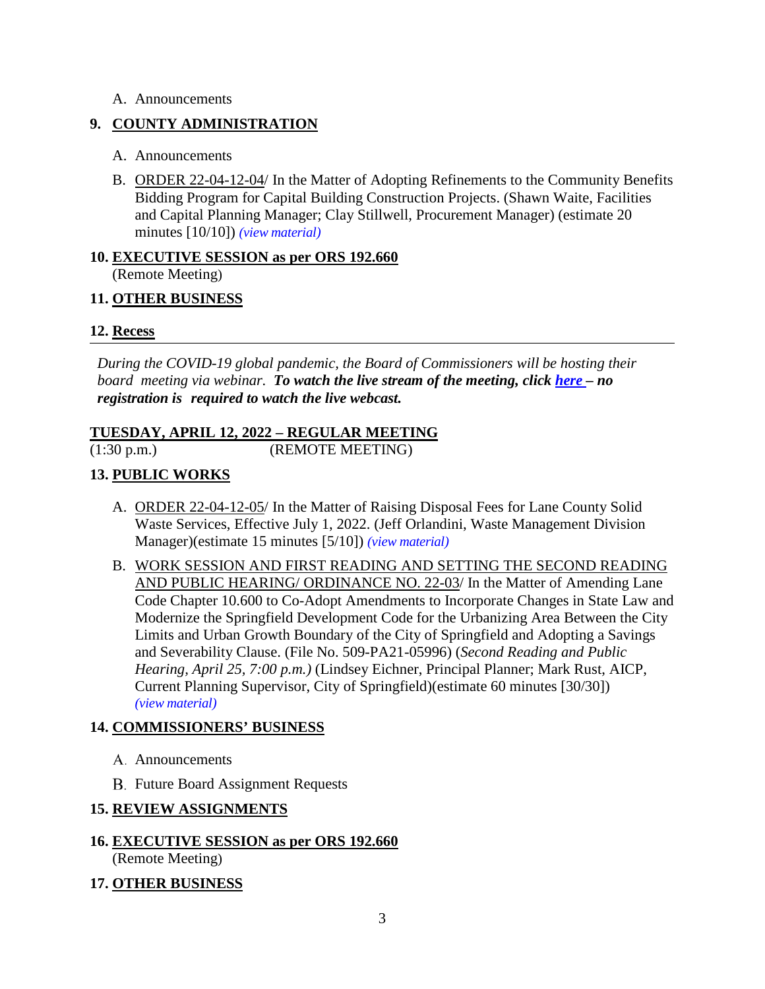#### A. Announcements

## **9. COUNTY ADMINISTRATION**

- A. Announcements
- B. ORDER 22-04-12-04/ In the Matter of Adopting Refinements to the Community Benefits Bidding Program for Capital Building Construction Projects. (Shawn Waite, Facilities and Capital Planning Manager; Clay Stillwell, Procurement Manager) (estimate 20 minutes [10/10]) *(view [material\)](http://www.lanecountyor.gov/UserFiles/Servers/Server_3585797/File/Government/BCC/2022/2022_AGENDAS/041222agenda/T.9.B.pdf)*

## **10. EXECUTIVE SESSION as per ORS 192.660**  (Remote Meeting)

## **11. OTHER BUSINESS**

## **12. Recess**

*During the COVID-19 global pandemic, the Board of Commissioners will be hosting their board meeting via webinar. To watch the live stream of the meeting, click [here](https://lanecounty.org/cms/One.aspx?portalId=3585881&pageId=7842434) – no registration is required to watch the live webcast.* 

# **TUESDAY, APRIL 12, 2022 – REGULAR MEETING**

(1:30 p.m.) (REMOTE MEETING)

# **13. PUBLIC WORKS**

- A. ORDER 22-04-12-05/ In the Matter of Raising Disposal Fees for Lane County Solid Waste Services, Effective July 1, 2022. (Jeff Orlandini, Waste Management Division Manager)(estimate 15 minutes [5/10]) *(view [material\)](http://www.lanecountyor.gov/UserFiles/Servers/Server_3585797/File/Government/BCC/2022/2022_AGENDAS/041222agenda/T.13.A.pdf)*
- B. WORK SESSION AND FIRST READING AND SETTING THE SECOND READING AND PUBLIC HEARING/ ORDINANCE NO. 22-03/ In the Matter of Amending Lane Code Chapter 10.600 to Co-Adopt Amendments to Incorporate Changes in State Law and Modernize the Springfield Development Code for the Urbanizing Area Between the City Limits and Urban Growth Boundary of the City of Springfield and Adopting a Savings and Severability Clause. (File No. 509-PA21-05996) (*Second Reading and Public Hearing, April 25, 7:00 p.m.)* (Lindsey Eichner, Principal Planner; Mark Rust, AICP, Current Planning Supervisor, City of Springfield)(estimate 60 minutes [30/30]) *(view [material\)](http://www.lanecountyor.gov/UserFiles/Servers/Server_3585797/File/Government/BCC/2022/2022_AGENDAS/041222agenda/T.13.B.pdf)*

# **14. COMMISSIONERS' BUSINESS**

- A. Announcements
- **B.** Future Board Assignment Requests

# **15. REVIEW ASSIGNMENTS**

# **16. EXECUTIVE SESSION as per ORS 192.660**

(Remote Meeting)

# **17. OTHER BUSINESS**